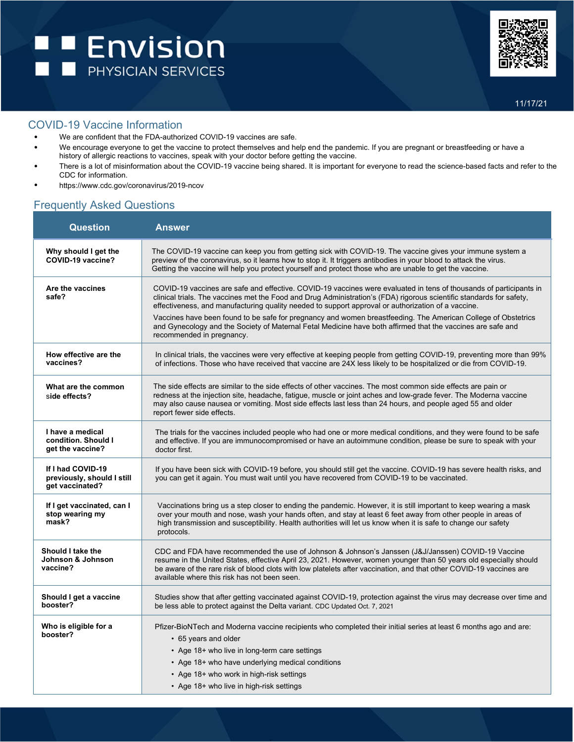

## COVID-19 Vaccine Information

- We are confident that the FDA-authorized COVID-19 vaccines are safe.
- We encourage everyone to get the vaccine to protect themselves and help end the pandemic. If you are pregnant or breastfeeding or have a history of allergic reactions to vaccines, speak with your doctor before getting the vaccine.
- There is a lot of misinformation about the COVID-19 vaccine being shared. It is important for everyone to read the science-based facts and refer to the CDC for information.
- [https://www.cdc.gov/coronavirus/2019-ncov](https://www.cdc.gov/coronavirus/2019-ncov/index.html)

## Frequently Asked Questions

| <b>Question</b>                                                    | <b>Answer</b>                                                                                                                                                                                                                                                                                                                                                                                  |
|--------------------------------------------------------------------|------------------------------------------------------------------------------------------------------------------------------------------------------------------------------------------------------------------------------------------------------------------------------------------------------------------------------------------------------------------------------------------------|
| Why should I get the<br>COVID-19 vaccine?                          | The COVID-19 vaccine can keep you from getting sick with COVID-19. The vaccine gives your immune system a<br>preview of the coronavirus, so it learns how to stop it. It triggers antibodies in your blood to attack the virus.<br>Getting the vaccine will help you protect yourself and protect those who are unable to get the vaccine.                                                     |
| Are the vaccines<br>safe?                                          | COVID-19 vaccines are safe and effective. COVID-19 vaccines were evaluated in tens of thousands of participants in<br>clinical trials. The vaccines met the Food and Drug Administration's (FDA) rigorous scientific standards for safety,<br>effectiveness, and manufacturing quality needed to support approval or authorization of a vaccine.                                               |
|                                                                    | Vaccines have been found to be safe for pregnancy and women breastfeeding. The American College of Obstetrics<br>and Gynecology and the Society of Maternal Fetal Medicine have both affirmed that the vaccines are safe and<br>recommended in pregnancy.                                                                                                                                      |
| How effective are the<br>vaccines?                                 | In clinical trials, the vaccines were very effective at keeping people from getting COVID-19, preventing more than 99%<br>of infections. Those who have received that vaccine are 24X less likely to be hospitalized or die from COVID-19.                                                                                                                                                     |
| What are the common<br>side effects?                               | The side effects are similar to the side effects of other vaccines. The most common side effects are pain or<br>redness at the injection site, headache, fatigue, muscle or joint aches and low-grade fever. The Moderna vaccine<br>may also cause nausea or vomiting. Most side effects last less than 24 hours, and people aged 55 and older<br>report fewer side effects.                   |
| I have a medical<br>condition. Should I<br>get the vaccine?        | The trials for the vaccines included people who had one or more medical conditions, and they were found to be safe<br>and effective. If you are immunocompromised or have an autoimmune condition, please be sure to speak with your<br>doctor first.                                                                                                                                          |
| If I had COVID-19<br>previously, should I still<br>get vaccinated? | If you have been sick with COVID-19 before, you should still get the vaccine. COVID-19 has severe health risks, and<br>you can get it again. You must wait until you have recovered from COVID-19 to be vaccinated.                                                                                                                                                                            |
| If I get vaccinated, can I<br>stop wearing my<br>mask?             | Vaccinations bring us a step closer to ending the pandemic. However, it is still important to keep wearing a mask<br>over your mouth and nose, wash your hands often, and stay at least 6 feet away from other people in areas of<br>high transmission and susceptibility. Health authorities will let us know when it is safe to change our safety<br>protocols.                              |
| Should I take the<br>Johnson & Johnson<br>vaccine?                 | CDC and FDA have recommended the use of Johnson & Johnson's Janssen (J&J/Janssen) COVID-19 Vaccine<br>resume in the United States, effective April 23, 2021. However, women younger than 50 years old especially should<br>be aware of the rare risk of blood clots with low platelets after vaccination, and that other COVID-19 vaccines are<br>available where this risk has not been seen. |
| Should I get a vaccine<br>booster?                                 | Studies show that after getting vaccinated against COVID-19, protection against the virus may decrease over time and<br>be less able to protect against the Delta variant. CDC Updated Oct. 7, 2021                                                                                                                                                                                            |
| Who is eligible for a<br>booster?                                  | Pfizer-BioNTech and Moderna vaccine recipients who completed their initial series at least 6 months ago and are:<br>• 65 years and older<br>• Age 18+ who live in long-term care settings<br>• Age 18+ who have underlying medical conditions<br>• Age 18+ who work in high-risk settings                                                                                                      |
|                                                                    | • Age 18+ who live in high-risk settings                                                                                                                                                                                                                                                                                                                                                       |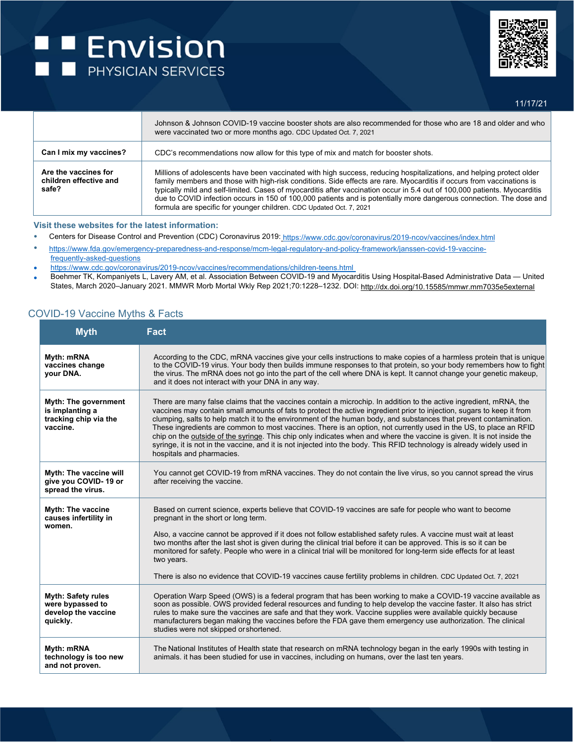## **E** Envision



11/17/21

|                                                         | Johnson & Johnson COVID-19 vaccine booster shots are also recommended for those who are 18 and older and who<br>were vaccinated two or more months ago. CDC Updated Oct. 7, 2021                                                                                                                                                                                                                                                                                                                                                                                         |
|---------------------------------------------------------|--------------------------------------------------------------------------------------------------------------------------------------------------------------------------------------------------------------------------------------------------------------------------------------------------------------------------------------------------------------------------------------------------------------------------------------------------------------------------------------------------------------------------------------------------------------------------|
| Can I mix my vaccines?                                  | CDC's recommendations now allow for this type of mix and match for booster shots.                                                                                                                                                                                                                                                                                                                                                                                                                                                                                        |
| Are the vaccines for<br>children effective and<br>safe? | Millions of adolescents have been vaccinated with high success, reducing hospitalizations, and helping protect older<br>family members and those with high-risk conditions. Side effects are rare. Myocarditis if occurs from vaccinations is<br>typically mild and self-limited. Cases of myocarditis after vaccination occur in 5.4 out of 100,000 patients. Myocarditis<br>due to COVID infection occurs in 150 of 100,000 patients and is potentially more dangerous connection. The dose and<br>formula are specific for younger children. CDC Updated Oct. 7, 2021 |

#### **Visit these websites for the latest information:**

- Centers for Disease Control and Prevention (CDC) Coronavirus 2019: [https://www.cdc.gov/coronavirus/2019-ncov/vaccine](http://www.cdc.gov/coronavirus/2019-ncov/vaccines/index.html)s[/index.html](http://www.cdc.gov/coronavirus/2019-ncov/vaccines/index.html)
- htt[ps://www.fda.](http://www.fda.gov/emergency-preparedness-and-response/mcm-legal-regulatory-and-policy-framework/janssen-covid-19-vaccine-)g[ov/emergency-preparedness-and-response/mcm-legal-regulatory-and-policy-framework/janssen-covid-19-vaccine](http://www.fda.gov/emergency-preparedness-and-response/mcm-legal-regulatory-and-policy-framework/janssen-covid-19-vaccine-)frequently-asked-questions
- <https://www.cdc.gov/coronavirus/2019-ncov/vaccines/recommendations/children-teens.html>
- Boehmer TK, Kompaniyets L, Lavery AM, et al. Association Between COVID-19 and Myocarditis Using Hospital-Based Administrative Data United States, March 2020–January 2021. MMWR Morb Mortal Wkly Rep 2021;70:1228–1232. DOI: <http://dx.doi.org/10.15585/mmwr.mm7035e5external>

### COVID-19 Vaccine Myths & Facts

| <b>Myth</b>                                                                         | <b>Fact</b>                                                                                                                                                                                                                                                                                                                                                                                                                                                                                                                                                                                                                                                                                                                                                              |
|-------------------------------------------------------------------------------------|--------------------------------------------------------------------------------------------------------------------------------------------------------------------------------------------------------------------------------------------------------------------------------------------------------------------------------------------------------------------------------------------------------------------------------------------------------------------------------------------------------------------------------------------------------------------------------------------------------------------------------------------------------------------------------------------------------------------------------------------------------------------------|
| Myth: mRNA<br>vaccines change<br>vour DNA.                                          | According to the CDC, mRNA vaccines give your cells instructions to make copies of a harmless protein that is unique<br>to the COVID-19 virus. Your body then builds immune responses to that protein, so your body remembers how to fight<br>the virus. The mRNA does not go into the part of the cell where DNA is kept. It cannot change your genetic makeup,<br>and it does not interact with your DNA in any way.                                                                                                                                                                                                                                                                                                                                                   |
| <b>Myth: The government</b><br>is implanting a<br>tracking chip via the<br>vaccine. | There are many false claims that the vaccines contain a microchip. In addition to the active ingredient, mRNA, the<br>vaccines may contain small amounts of fats to protect the active ingredient prior to injection, sugars to keep it from<br>clumping, salts to help match it to the environment of the human body, and substances that prevent contamination.<br>These ingredients are common to most vaccines. There is an option, not currently used in the US, to place an RFID<br>chip on the outside of the syringe. This chip only indicates when and where the vaccine is given. It is not inside the<br>syringe, it is not in the vaccine, and it is not injected into the body. This RFID technology is already widely used in<br>hospitals and pharmacies. |
| <b>Myth: The vaccine will</b><br>give you COVID-19 or<br>spread the virus.          | You cannot get COVID-19 from mRNA vaccines. They do not contain the live virus, so you cannot spread the virus<br>after receiving the vaccine.                                                                                                                                                                                                                                                                                                                                                                                                                                                                                                                                                                                                                           |
| <b>Myth: The vaccine</b><br>causes infertility in<br>women.                         | Based on current science, experts believe that COVID-19 vaccines are safe for people who want to become<br>pregnant in the short or long term.<br>Also, a vaccine cannot be approved if it does not follow established safety rules. A vaccine must wait at least<br>two months after the last shot is given during the clinical trial before it can be approved. This is so it can be<br>monitored for safety. People who were in a clinical trial will be monitored for long-term side effects for at least<br>two years.<br>There is also no evidence that COVID-19 vaccines cause fertility problems in children. CDC Updated Oct. 7, 2021                                                                                                                           |
| <b>Myth: Safety rules</b><br>were bypassed to<br>develop the vaccine<br>quickly.    | Operation Warp Speed (OWS) is a federal program that has been working to make a COVID-19 vaccine available as<br>soon as possible. OWS provided federal resources and funding to help develop the vaccine faster. It also has strict<br>rules to make sure the vaccines are safe and that they work. Vaccine supplies were available quickly because<br>manufacturers began making the vaccines before the FDA gave them emergency use authorization. The clinical<br>studies were not skipped or shortened.                                                                                                                                                                                                                                                             |
| Myth: mRNA<br>technology is too new<br>and not proven.                              | The National Institutes of Health state that research on mRNA technology began in the early 1990s with testing in<br>animals. it has been studied for use in vaccines, including on humans, over the last ten years.                                                                                                                                                                                                                                                                                                                                                                                                                                                                                                                                                     |